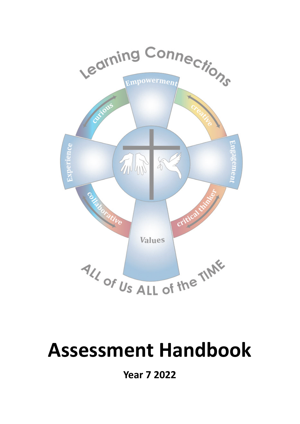

# **Assessment Handbook**

**Year 7 2022**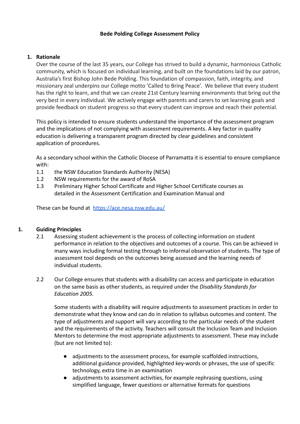#### **Bede Polding College Assessment Policy**

#### **1. Rationale**

Over the course of the last 35 years, our College has strived to build a dynamic, harmonious Catholic community, which is focused on individual learning, and built on the foundations laid by our patron, Australia's first Bishop John Bede Polding. This foundation of compassion, faith, integrity, and missionary zeal underpins our College motto 'Called to Bring Peace'. We believe that every student has the right to learn, and that we can create 21st Century learning environments that bring out the very best in every individual. We actively engage with parents and carers to set learning goals and provide feedback on student progress so that every student can improve and reach their potential.

This policy is intended to ensure students understand the importance of the assessment program and the implications of not complying with assessment requirements. A key factor in quality education is delivering a transparent program directed by clear guidelines and consistent application of procedures.

As a secondary school within the Catholic Diocese of Parramatta it is essential to ensure compliance with:

- 1.1 the NSW Education Standards Authority (NESA)
- 1.2 NSW requirements for the award of RoSA
- 1.3 Preliminary Higher School Certificate and Higher School Certificate courses as detailed in the Assessment Certification and Examination Manual and

These can be found at <https://ace.nesa.nsw.edu.au/>

#### **1. Guiding Principles**

- 2.1 Assessing student achievement is the process of collecting information on student performance in relation to the objectives and outcomes of a course. This can be achieved in many ways including formal testing through to informal observation of students. The type of assessment tool depends on the outcomes being assessed and the learning needs of individual students.
- 2.2 Our College ensures that students with a disability can access and participate in education on the same basis as other students, as required under the *Disability Standards for Education 2005.*

Some students with a disability will require adjustments to assessment practices in order to demonstrate what they know and can do in relation to syllabus outcomes and content. The type of adjustments and support will vary according to the particular needs of the student and the requirements of the activity. Teachers will consult the Inclusion Team and Inclusion Mentors to determine the most appropriate adjustments to assessment. These may include (but are not limited to):

- adjustments to the assessment process, for example scaffolded instructions, additional guidance provided, highlighted key-words or phrases, the use of specific technology, extra time in an examination
- adjustments to assessment activities, for example rephrasing questions, using simplified language, fewer questions or alternative formats for questions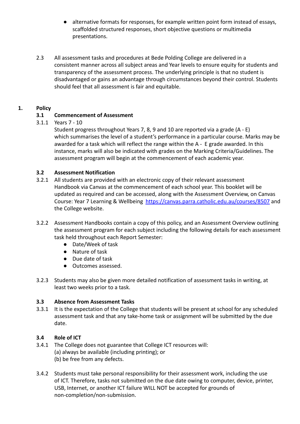- alternative formats for responses, for example written point form instead of essays, scaffolded structured responses, short objective questions or multimedia presentations.
- 2.3 All assessment tasks and procedures at Bede Polding College are delivered in a consistent manner across all subject areas and Year levels to ensure equity for students and transparency of the assessment process. The underlying principle is that no student is disadvantaged or gains an advantage through circumstances beyond their control. Students should feel that all assessment is fair and equitable.

# **1. Policy**

# **3.1 Commencement of Assessment**

# 3.1.1 Years 7 - 10

Student progress throughout Years 7, 8, 9 and 10 are reported via a grade (A - E) which summarises the level of a student's performance in a particular course. Marks may be awarded for a task which will reflect the range within the A - E grade awarded. In this instance, marks will also be indicated with grades on the Marking Criteria/Guidelines. The assessment program will begin at the commencement of each academic year.

### **3.2 Assessment Notification**

- 3.2.1 All students are provided with an electronic copy of their relevant assessment Handbook via Canvas at the commencement of each school year. This booklet will be updated as required and can be accessed, along with the Assessment Overview, on Canvas Course: Year 7 Learning & Wellbeing <https://canvas.parra.catholic.edu.au/courses/8507> and the College website.
- 3.2.2 Assessment Handbooks contain a copy of this policy, and an Assessment Overview outlining the assessment program for each subject including the following details for each assessment task held throughout each Report Semester:
	- Date/Week of task
	- Nature of task
	- Due date of task
	- Outcomes assessed.
- 3.2.3 Students may also be given more detailed notification of assessment tasks in writing, at least two weeks prior to a task.

### **3.3 Absence from Assessment Tasks**

3.3.1 It is the expectation of the College that students will be present at school for any scheduled assessment task and that any take-home task or assignment will be submitted by the due date.

### **3.4 Role of ICT**

- 3.4.1 The College does not guarantee that College ICT resources will: (a) always be available (including printing); or (b) be free from any defects.
- 3.4.2 Students must take personal responsibility for their assessment work, including the use of ICT. Therefore, tasks not submitted on the due date owing to computer, device, printer, USB, Internet, or another ICT failure WILL NOT be accepted for grounds of non-completion/non-submission.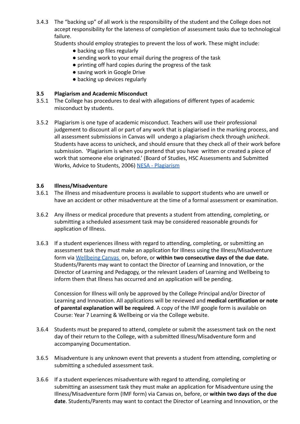3.4.3 The "backing up" of all work is the responsibility of the student and the College does not accept responsibility for the lateness of completion of assessment tasks due to technological failure.

Students should employ strategies to prevent the loss of work. These might include:

- backing up files regularly
- sending work to your email during the progress of the task
- printing off hard copies during the progress of the task
- saving work in Google Drive
- backing up devices regularly

### **3.5 Plagiarism and Academic Misconduct**

- 3.5.1 The College has procedures to deal with allegations of different types of academic misconduct by students.
- 3.5.2 Plagiarism is one type of academic misconduct. Teachers will use their professional judgement to discount all or part of any work that is plagiarised in the marking process, and all assessment submissions in Canvas will undergo a plagiarism check through *unicheck*. Students have access to unicheck, and should ensure that they check all of their work before submission. 'Plagiarism is when you pretend that you have written or created a piece of work that someone else originated.' (Board of Studies, HSC Assessments and Submitted Works, Advice to Students, 2006) [NESA - Plagiarism](https://www.educationstandards.nsw.edu.au/wps/portal/nesa/11-12/hsc/hsc-all-my-own-work/plagiarism/!ut/p/z1/rVNLc4IwEP4tHjhmsnlI8EgfitbXVFHJxcFIFYWAyEj11xec9qi0Y_eQmczs99jNFyzxAkvtn8KNn4eJ9qPy7klzybsOAAPat_pTCjYbzLrjtoDhxMTzawO1iUkcTt5GHYuAPR0Rk_YEHblNLCs8oR1CLDoAQQXY7-Pn8YvTptBvfuPhRtnwO_ydBnnf_wxLLJXO03yLvbRYqkTngc4NSLNkF6gcFcHKAB0cfQMIQYQasD2q64H8KELxGSWFRkWS7UtM5G9CPwuPccWaqnCNvZVqgUXXLSTWJkNccY4sEayQCAhlnIEq62eK2zbl_SXNK72ad6jj8EoP4qYHyvH8FAYFdnWSxWUyJn8c0alVIA8q1NCLB-l7dVEq_0q4OxykXQaqStFnjhf_mKg0dl03ttgZ7T8Gr4x7vdPlaYikZzcaXwIrPCg!/dz/d5/L2dBISEvZ0FBIS9nQSEh/?urile=wcm%3Apath%3A%2Fpw_content%2Fproject-web%2Fnesa%2F11-12%2Fhsc%2Fhsc-all-my-own-work%2Fplagiarism)

#### **3.6 Illness/Misadventure**

- 3.6.1 The illness and misadventure process is available to support students who are unwell or have an accident or other misadventure at the time of a formal assessment or examination.
- 3.6.2 Any illness or medical procedure that prevents a student from attending, completing, or submitting a scheduled assessment task may be considered reasonable grounds for application of Illness.
- 3.6.3 If a student experiences illness with regard to attending, completing, or submitting an assessment task they must make an application for Illness using the Illness/Misadventure form via [Wellbeing Canvas](https://canvas.parra.catholic.edu.au/courses/10126) on, before, or **within two consecutive days of the due date.** Students/Parents may want to contact the Director of Learning and Innovation, or the Director of Learning and Pedagogy, or the relevant Leaders of Learning and Wellbeing to inform them that Illness has occurred and an application will be pending.

Concession for Illness will only be approved by the College Principal and/or Director of Learning and Innovation. All applications will be reviewed and **medical certification or note of parental explanation will be required**. A copy of the IMF google form is available on Course: Year 7 Learning & Wellbeing or via the College website.

- 3.6.4 Students must be prepared to attend, complete or submit the assessment task on the next day of their return to the College, with a submitted Illness/Misadventure form and accompanying Documentation.
- 3.6.5 Misadventure is any unknown event that prevents a student from attending, completing or submitting a scheduled assessment task.
- 3.6.6 If a student experiences misadventure with regard to attending, completing or submitting an assessment task they must make an application for Misadventure using the Illness/Misadventure form (IMF form) via Canvas on, before, or **within two days of the due date**. Students/Parents may want to contact the Director of Learning and Innovation, or the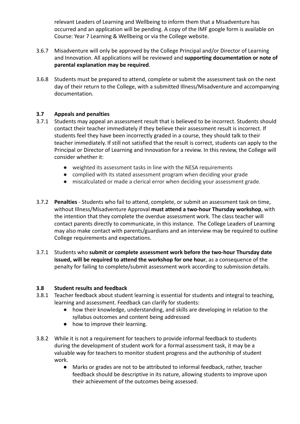relevant Leaders of Learning and Wellbeing to inform them that a Misadventure has occurred and an application will be pending. A copy of the IMF google form is available on Course: Year 7 Learning & Wellbeing or via the College website.

- 3.6.7 Misadventure will only be approved by the College Principal and/or Director of Learning and Innovation. All applications will be reviewed and **supporting documentation or note of parental explanation may be required**.
- 3.6.8 Students must be prepared to attend, complete or submit the assessment task on the next day of their return to the College, with a submitted Illness/Misadventure and accompanying documentation.

### **3.7 Appeals and penalties**

- 3.7.1 Students may appeal an assessment result that is believed to be incorrect. Students should contact their teacher immediately if they believe their assessment result is incorrect. If students feel they have been incorrectly graded in a course, they should talk to their teacher immediately. If still not satisfied that the result is correct, students can apply to the Principal or Director of Learning and Innovation for a review. In this review, the College will consider whether it:
	- weighted its assessment tasks in line with the NESA requirements
	- complied with its stated assessment program when deciding your grade
	- miscalculated or made a clerical error when deciding your assessment grade.
- 3.7.2 **Penalties** Students who fail to attend, complete, or submit an assessment task on time, without Illness/Misadventure Approval **must attend a two-hour Thursday workshop**, with the intention that they complete the overdue assessment work. The class teacher will contact parents directly to communicate, in this instance. The College Leaders of Learning may also make contact with parents/guardians and an interview may be required to outline College requirements and expectations.
- 3.7.1 Students who **submit or complete assessment work before the two-hour Thursday date issued, will be required to attend the workshop for one hour**, as a consequence of the penalty for failing to complete/submit assessment work according to submission details.

#### **3.8 Student results and feedback**

- 3.8.1 Teacher feedback about student learning is essential for students and integral to teaching, learning and assessment. Feedback can clarify for students:
	- how their knowledge, understanding, and skills are developing in relation to the syllabus outcomes and content being addressed
	- how to improve their learning.
- 3.8.2 While it is not a requirement for teachers to provide informal feedback to students during the development of student work for a formal assessment task, it may be a valuable way for teachers to monitor student progress and the authorship of student work.
	- Marks or grades are not to be attributed to informal feedback, rather, teacher feedback should be descriptive in its nature, allowing students to improve upon their achievement of the outcomes being assessed.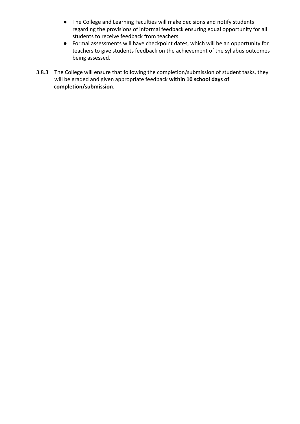- The College and Learning Faculties will make decisions and notify students regarding the provisions of informal feedback ensuring equal opportunity for all students to receive feedback from teachers.
- Formal assessments will have checkpoint dates, which will be an opportunity for teachers to give students feedback on the achievement of the syllabus outcomes being assessed.
- 3.8.3 The College will ensure that following the completion/submission of student tasks, they will be graded and given appropriate feedback **within 10 school days of completion/submission**.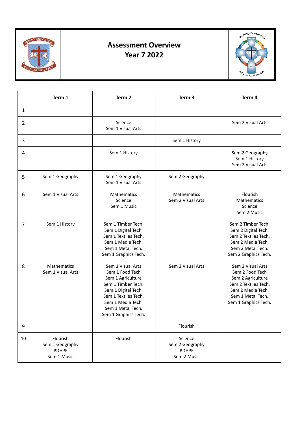

# **Assessment Overview Year 7 2022**



|                | Term 1                                                     | Term <sub>2</sub>                                                                                                                                                                                | Term <sub>3</sub>                                         | Term 4                                                                                                                                              |
|----------------|------------------------------------------------------------|--------------------------------------------------------------------------------------------------------------------------------------------------------------------------------------------------|-----------------------------------------------------------|-----------------------------------------------------------------------------------------------------------------------------------------------------|
| $\mathbf{1}$   |                                                            |                                                                                                                                                                                                  |                                                           |                                                                                                                                                     |
| 2              |                                                            | Science<br>Sem 1 Visual Arts                                                                                                                                                                     |                                                           | Sem 2 Visual Arts                                                                                                                                   |
| 3              |                                                            |                                                                                                                                                                                                  | Sem 1 History                                             |                                                                                                                                                     |
| 4              |                                                            | Sem 1 History                                                                                                                                                                                    |                                                           | Sem 2 Geography<br>Sem 1 History<br>Sem 2 Visual Arts                                                                                               |
| 5              | Sem 1 Geography                                            | Sem 1 Geography<br>Sem 1 Visual Arts                                                                                                                                                             | Sem 2 Geography                                           |                                                                                                                                                     |
| 6              | Sem 1 Visual Arts                                          | Mathematics<br>Science<br>Sem 1 Music                                                                                                                                                            | Mathematics<br>Sem 2 Visual Arts                          | Flourish<br>Mathematics<br>Science<br>Sem 2 Music                                                                                                   |
| $\overline{7}$ | Sem 1 History                                              | Sem 1 Timber Tech.<br>Sem 1 Digital Tech.<br>Sem 1 Textiles Tech.<br>Sem 1 Media Tech.<br>Sem 1 Metal Tech.<br>Sem 1 Graphics Tech.                                                              |                                                           | Sem 2 Timber Tech.<br>Sem 2 Digital Tech.<br>Sem 2 Textiles Tech.<br>Sem 2 Media Tech.<br>Sem 2 Metal Tech.<br>Sem 2 Graphics Tech.                 |
| 8              | Mathematics<br>Sem 1 Visual Arts                           | Sem 1 Visual Arts<br>Sem 1 Food Tech<br>Sem 1 Agriculture<br>Sem 1 Timber Tech.<br>Sem 1 Digital Tech.<br>Sem 1 Textiles Tech.<br>Sem 1 Media Tech.<br>Sem 1 Metal Tech.<br>Sem 1 Graphics Tech. | Sem 2 Visual Arts                                         | Sem 2 Visual Arts<br>Sem 2 Food Tech<br>Sem 2 Agriculture<br>Sem 2 Textiles Tech.<br>Sem 2 Media Tech.<br>Sem 1 Metal Tech.<br>Sem 1 Graphics Tech. |
| 9              |                                                            |                                                                                                                                                                                                  | Flourish                                                  |                                                                                                                                                     |
| 10             | Flourish<br>Sem 1 Geography<br><b>PDHPE</b><br>Sem 1 Music | Flourish                                                                                                                                                                                         | Science<br>Sem 2 Geography<br><b>PDHPE</b><br>Sem 2 Music |                                                                                                                                                     |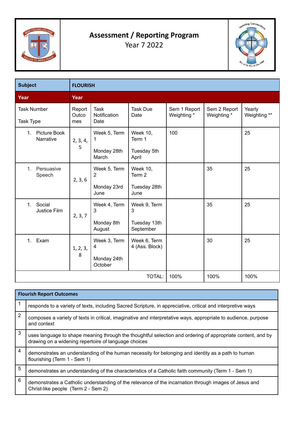

# **Assessment / Reporting Program** Year 7 2022



| <b>Subject</b>                         | <b>FLOURISH</b>        |                                                      |                                                   |                             |                             |                        |
|----------------------------------------|------------------------|------------------------------------------------------|---------------------------------------------------|-----------------------------|-----------------------------|------------------------|
| Year                                   | Year                   |                                                      |                                                   |                             |                             |                        |
| <b>Task Number</b><br><b>Task Type</b> | Report<br>Outco<br>mes | <b>Task</b><br>Notification<br>Date                  | <b>Task Due</b><br>Date                           | Sem 1 Report<br>Weighting * | Sem 2 Report<br>Weighting * | Yearly<br>Weighting ** |
| 1. Picture Book<br>Narrative           | 2, 3, 4,<br>5          | Week 5, Term<br>1<br>Monday 28th<br>March            | <b>Week 10,</b><br>Term 1<br>Tuesday 5th<br>April | 100                         |                             | 25                     |
| Persuasive<br>$1_{-}$<br>Speech        | 2, 3, 6                | Week 5, Term<br>2<br>Monday 23rd<br>June             | <b>Week 10,</b><br>Term 2<br>Tuesday 28th<br>June |                             | 35                          | 25                     |
| Social<br>1.<br>Justice Film           | 2, 3, 7                | Week 4, Term<br>$\mathbf{3}$<br>Monday 8th<br>August | Week 9, Term<br>3<br>Tuesday 13th<br>September    |                             | 35                          | 25                     |
| 1. Exam                                | 1, 2, 3,<br>8          | Week 3, Term<br>4<br>Monday 24th<br>October          | Week 6, Term<br>4 (Ass. Block)                    |                             | 30                          | 25                     |
|                                        |                        |                                                      | <b>TOTAL:</b>                                     | 100%                        | 100%                        | 100%                   |

|                | <b>Flourish Report Outcomes</b>                                                                                                                                     |
|----------------|---------------------------------------------------------------------------------------------------------------------------------------------------------------------|
|                | responds to a variety of texts, including Sacred Scripture, in appreciative, critical and interpretive ways                                                         |
| $\overline{2}$ | composes a variety of texts in critical, imaginative and interpretative ways, appropriate to audience, purpose<br>and context                                       |
| 3              | uses language to shape meaning through the thoughtful selection and ordering of appropriate content, and by<br>drawing on a widening repertoire of language choices |
| $\overline{4}$ | demonstrates an understanding of the human necessity for belonging and identity as a path to human<br>flourishing (Term 1 - Sem 1)                                  |
| 5              | demonstrates an understanding of the characteristics of a Catholic faith community (Term 1 - Sem 1)                                                                 |
| 6              | demonstrates a Catholic understanding of the relevance of the incarnation through images of Jesus and<br>Christ-like people (Term 2 - Sem 2)                        |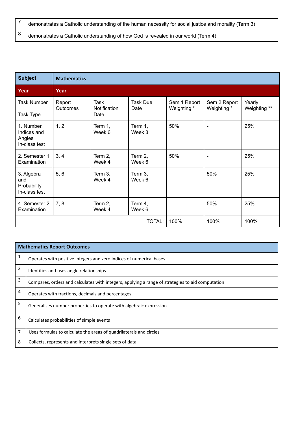| I demonstrates a Catholic understanding of the human necessity for social justice and morality (Term 3) |
|---------------------------------------------------------------------------------------------------------|
| demonstrates a Catholic understanding of how God is revealed in our world (Term 4)                      |

| <b>Subject</b>                                       | <b>Mathematics</b>        |                              |                   |                             |                             |                        |
|------------------------------------------------------|---------------------------|------------------------------|-------------------|-----------------------------|-----------------------------|------------------------|
| Year                                                 | Year                      |                              |                   |                             |                             |                        |
| <b>Task Number</b><br><b>Task Type</b>               | Report<br><b>Outcomes</b> | Task<br>Notification<br>Date | Task Due<br>Date  | Sem 1 Report<br>Weighting * | Sem 2 Report<br>Weighting * | Yearly<br>Weighting ** |
| 1. Number,<br>Indices and<br>Angles<br>In-class test | 1, 2                      | Term 1,<br>Week 6            | Term 1,<br>Week 8 | 50%                         | $\blacksquare$              | 25%                    |
| 2. Semester 1<br>Examination                         | 3, 4                      | Term 2,<br>Week 4            | Term 2,<br>Week 6 | 50%                         | $\blacksquare$              | 25%                    |
| 3. Algebra<br>and<br>Probability<br>In-class test    | 5, 6                      | Term 3,<br>Week 4            | Term 3,<br>Week 6 |                             | 50%                         | 25%                    |
| 4. Semester 2<br>Examination                         | 7, 8                      | Term 2,<br>Week 4            | Term 4,<br>Week 6 |                             | 50%                         | 25%                    |
|                                                      |                           |                              | TOTAL:            | 100%                        | 100%                        | 100%                   |

|                | <b>Mathematics Report Outcomes</b>                                                               |
|----------------|--------------------------------------------------------------------------------------------------|
| 1              | Operates with positive integers and zero indices of numerical bases                              |
| 2              | Identifies and uses angle relationships                                                          |
| 3              | Compares, orders and calculates with integers, applying a range of strategies to aid computation |
| 4              | Operates with fractions, decimals and percentages                                                |
| 5              | Generalises number properties to operate with algebraic expression                               |
| 6              | Calculates probabilities of simple events                                                        |
| $\overline{7}$ | Uses formulas to calculate the areas of quadrilaterals and circles                               |
| 8              | Collects, represents and interprets single sets of data                                          |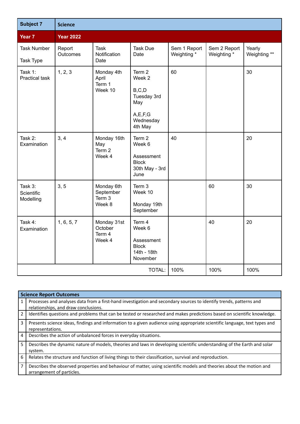| <b>Subject 7</b>                   | <b>Science</b>     |                                             |                                                                                                    |                             |                             |                        |
|------------------------------------|--------------------|---------------------------------------------|----------------------------------------------------------------------------------------------------|-----------------------------|-----------------------------|------------------------|
| Year 7                             | <b>Year 2022</b>   |                                             |                                                                                                    |                             |                             |                        |
| <b>Task Number</b><br>Task Type    | Report<br>Outcomes | <b>Task</b><br>Notification<br>Date         | <b>Task Due</b><br>Date                                                                            | Sem 1 Report<br>Weighting * | Sem 2 Report<br>Weighting * | Yearly<br>Weighting ** |
| Task 1:<br><b>Practical task</b>   | 1, 2, 3            | Monday 4th<br>April<br>Term 1<br>Week 10    | Term <sub>2</sub><br>Week 2<br>B, C, D<br>Tuesday 3rd<br>May<br>A, E, F, G<br>Wednesday<br>4th May | 60                          |                             | 30                     |
| Task 2:<br>Examination             | 3, 4               | Monday 16th<br>May<br>Term 2<br>Week 4      | Term <sub>2</sub><br>Week 6<br>Assessment<br><b>Block</b><br>30th May - 3rd<br>June                | 40                          |                             | 20                     |
| Task 3:<br>Scientific<br>Modelling | 3, 5               | Monday 6th<br>September<br>Term 3<br>Week 8 | Term 3<br>Week 10<br>Monday 19th<br>September                                                      |                             | 60                          | 30                     |
| Task 4:<br>Examination             | 1, 6, 5, 7         | Monday 31st<br>October<br>Term 4<br>Week 4  | Term 4<br>Week 6<br>Assessment<br><b>Block</b><br>14th - 18th<br>November                          |                             | 40                          | 20                     |
|                                    |                    |                                             | TOTAL:                                                                                             | 100%                        | 100%                        | 100%                   |

|                | <b>Science Report Outcomes</b>                                                                                                                             |
|----------------|------------------------------------------------------------------------------------------------------------------------------------------------------------|
| $\mathbf{1}$   | Processes and analyses data from a first-hand investigation and secondary sources to identify trends, patterns and<br>relationships, and draw conclusions. |
| 2              | Identifies questions and problems that can be tested or researched and makes predictions based on scientific knowledge.                                    |
| 3              | Presents science ideas, findings and information to a given audience using appropriate scientific language, text types and<br>representations.             |
| 4              | Describes the action of unbalanced forces in everyday situations.                                                                                          |
| 5              | Describes the dynamic nature of models, theories and laws in developing scientific understanding of the Earth and solar<br>system.                         |
| 6              | Relates the structure and function of living things to their classification, survival and reproduction.                                                    |
| $\overline{7}$ | Describes the observed properties and behaviour of matter, using scientific models and theories about the motion and<br>arrangement of particles.          |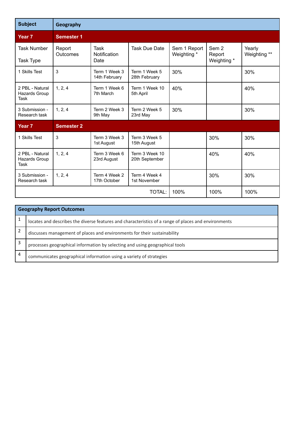| <b>Subject</b>                                  | Geography          |                                     |                                  |                             |                                           |                        |
|-------------------------------------------------|--------------------|-------------------------------------|----------------------------------|-----------------------------|-------------------------------------------|------------------------|
| Year <sub>7</sub>                               | <b>Semester 1</b>  |                                     |                                  |                             |                                           |                        |
| <b>Task Number</b><br>Task Type                 | Report<br>Outcomes | <b>Task</b><br>Notification<br>Date | <b>Task Due Date</b>             | Sem 1 Report<br>Weighting * | Sem <sub>2</sub><br>Report<br>Weighting * | Yearly<br>Weighting ** |
| 1 Skills Test                                   | 3                  | Term 1 Week 3<br>14th February      | Term 1 Week 5<br>28th February   | 30%                         |                                           | 30%                    |
| 2 PBL - Natural<br>Hazards Group<br>Task        | 1, 2, 4            | Term 1 Week 6<br>7th March          | Term 1 Week 10<br>5th April      | 40%                         |                                           | 40%                    |
| 3 Submission -<br>Research task                 | 1, 2, 4            | Term 2 Week 3<br>9th May            | Term 2 Week 5<br>23rd May        | 30%                         |                                           | 30%                    |
| Year <sub>7</sub>                               | <b>Semester 2</b>  |                                     |                                  |                             |                                           |                        |
| 1 Skills Test                                   | 3                  | Term 3 Week 3<br>1st August         | Term 3 Week 5<br>15th August     |                             | 30%                                       | 30%                    |
| 2 PBL - Natural<br>Hazards Group<br><b>Task</b> | 1, 2, 4            | Term 3 Week 6<br>23rd August        | Term 3 Week 10<br>20th September |                             | 40%                                       | 40%                    |
| 3 Submission -<br>Research task                 | 1, 2, 4            | Term 4 Week 2<br>17th October       | Term 4 Week 4<br>1st November    |                             | 30%                                       | 30%                    |
| <b>TOTAL:</b>                                   |                    |                                     |                                  | 100%                        | 100%                                      | 100%                   |

|                | <b>Geography Report Outcomes</b>                                                                     |  |  |  |  |
|----------------|------------------------------------------------------------------------------------------------------|--|--|--|--|
|                | locates and describes the diverse features and characteristics of a range of places and environments |  |  |  |  |
|                | discusses management of places and environments for their sustainability                             |  |  |  |  |
| 3              | processes geographical information by selecting and using geographical tools                         |  |  |  |  |
| $\overline{4}$ | communicates geographical information using a variety of strategies                                  |  |  |  |  |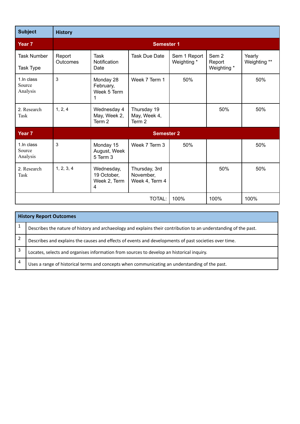| <b>Subject</b>                    | <b>History</b>            |                                                |                                              |                             |                                |                        |
|-----------------------------------|---------------------------|------------------------------------------------|----------------------------------------------|-----------------------------|--------------------------------|------------------------|
| Year <sub>7</sub>                 |                           |                                                | <b>Semester 1</b>                            |                             |                                |                        |
| Task Number<br>Task Type          | Report<br><b>Outcomes</b> | <b>Task</b><br>Notification<br>Date            | <b>Task Due Date</b>                         | Sem 1 Report<br>Weighting * | Sem 2<br>Report<br>Weighting * | Yearly<br>Weighting ** |
| 1. In class<br>Source<br>Analysis | 3                         | Monday 28<br>February,<br>Week 5 Term<br>1     | Week 7 Term 1                                | 50%                         |                                | 50%                    |
| 2. Research<br>Task               | 1, 2, 4                   | Wednesday 4<br>May, Week 2,<br>Term 2          | Thursday 19<br>May, Week 4,<br>Term 2        |                             | 50%                            | 50%                    |
| Year <sub>7</sub>                 |                           |                                                | <b>Semester 2</b>                            |                             |                                |                        |
| 1.In class<br>Source<br>Analysis  | 3                         | Monday 15<br>August, Week<br>5 Term 3          | Week 7 Term 3                                | 50%                         |                                | 50%                    |
| 2. Research<br>Task               | 1, 2, 3, 4                | Wednesday,<br>19 October.<br>Week 2, Term<br>4 | Thursday, 3rd<br>November,<br>Week 4, Term 4 |                             | 50%                            | 50%                    |
|                                   |                           |                                                | TOTAL:                                       | 100%                        | 100%                           | 100%                   |

|   | <b>History Report Outcomes</b>                                                                                   |  |  |  |
|---|------------------------------------------------------------------------------------------------------------------|--|--|--|
|   | Describes the nature of history and archaeology and explains their contribution to an understanding of the past. |  |  |  |
|   | Describes and explains the causes and effects of events and developments of past societies over time.            |  |  |  |
| 3 | Locates, selects and organises information from sources to develop an historical inquiry.                        |  |  |  |
| 4 | Uses a range of historical terms and concepts when communicating an understanding of the past.                   |  |  |  |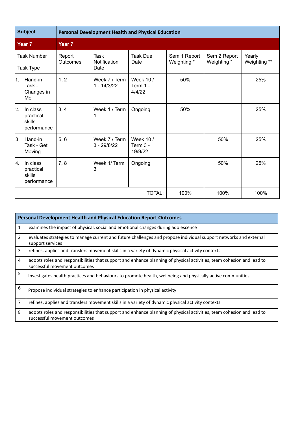| <b>Subject</b>                  |                                                | <b>Personal Development Health and Physical Education</b> |                                        |                                    |                             |                             |                        |  |  |  |
|---------------------------------|------------------------------------------------|-----------------------------------------------------------|----------------------------------------|------------------------------------|-----------------------------|-----------------------------|------------------------|--|--|--|
|                                 | Year <sub>7</sub>                              | Year <sub>7</sub>                                         |                                        |                                    |                             |                             |                        |  |  |  |
| <b>Task Number</b><br>Task Type |                                                | Report<br>Outcomes                                        | <b>Task</b><br>Notification<br>Date    | <b>Task Due</b><br>Date            | Sem 1 Report<br>Weighting * | Sem 2 Report<br>Weighting * | Yearly<br>Weighting ** |  |  |  |
| 1.                              | Hand-in<br>Task -<br>Changes in<br>Me          | 1, 2                                                      | Week 7 / Term<br>$1 - \frac{14}{3/22}$ | Week 10 /<br>Term 1 -<br>4/4/22    | 50%                         |                             | 25%                    |  |  |  |
| 2.                              | In class<br>practical<br>skills<br>performance | 3, 4                                                      | Week 1 / Term                          | Ongoing                            | 50%                         |                             | 25%                    |  |  |  |
| 3.                              | Hand-in<br>Task - Get<br>Moving                | 5, 6                                                      | Week 7 / Term<br>$3 - 29/8/22$         | Week 10 /<br>Term $3 -$<br>19/9/22 |                             | 50%                         | 25%                    |  |  |  |
| 4.                              | In class<br>practical<br>skills<br>performance | 7, 8                                                      | Week 1/ Term<br>3                      | Ongoing                            |                             | 50%                         | 25%                    |  |  |  |
|                                 |                                                |                                                           |                                        | TOTAL:                             | 100%                        | 100%                        | 100%                   |  |  |  |

|                | <b>Personal Development Health and Physical Education Report Outcomes</b>                                                                             |  |  |  |  |  |
|----------------|-------------------------------------------------------------------------------------------------------------------------------------------------------|--|--|--|--|--|
| 1              | examines the impact of physical, social and emotional changes during adolescence                                                                      |  |  |  |  |  |
| $\overline{2}$ | evaluates strategies to manage current and future challenges and propose individual support networks and external<br>support services                 |  |  |  |  |  |
| 3              | refines, applies and transfers movement skills in a variety of dynamic physical activity contexts                                                     |  |  |  |  |  |
| $\overline{4}$ | adopts roles and responsibilities that support and enhance planning of physical activities, team cohesion and lead to<br>successful movement outcomes |  |  |  |  |  |
| 5              | Investigates health practices and behaviours to promote health, wellbeing and physically active communities                                           |  |  |  |  |  |
| 6              | Propose individual strategies to enhance participation in physical activity                                                                           |  |  |  |  |  |
| $\overline{7}$ | refines, applies and transfers movement skills in a variety of dynamic physical activity contexts                                                     |  |  |  |  |  |
| 8              | adopts roles and responsibilities that support and enhance planning of physical activities, team cohesion and lead to<br>successful movement outcomes |  |  |  |  |  |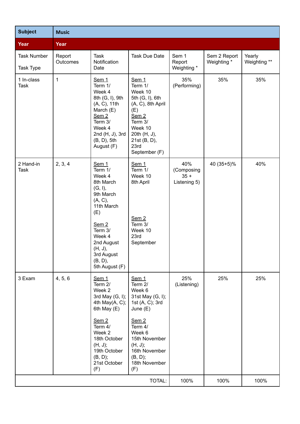| <b>Subject</b>                  | <b>Music</b>              |                                                                                                                                                                                                              |                                                                                                                                                                                                          |                                             |                             |                        |  |
|---------------------------------|---------------------------|--------------------------------------------------------------------------------------------------------------------------------------------------------------------------------------------------------------|----------------------------------------------------------------------------------------------------------------------------------------------------------------------------------------------------------|---------------------------------------------|-----------------------------|------------------------|--|
| Year                            | Year                      |                                                                                                                                                                                                              |                                                                                                                                                                                                          |                                             |                             |                        |  |
| <b>Task Number</b><br>Task Type | Report<br><b>Outcomes</b> | Task<br>Notification<br>Date                                                                                                                                                                                 | <b>Task Due Date</b>                                                                                                                                                                                     | Sem 1<br>Report<br>Weighting *              | Sem 2 Report<br>Weighting * | Yearly<br>Weighting ** |  |
| 1 In-class<br><b>Task</b>       | 1                         | Sem <sub>1</sub><br>Term 1/<br>Week 4<br>8th (G, I), 9th<br>(A, C), 11th<br>March (E)<br>Sem <sub>2</sub><br>Term 3/<br>Week 4<br>2nd (H, J), 3rd<br>$(B, D)$ , 5th<br>August (F)                            | Sem <sub>1</sub><br>Term 1/<br>Week 10<br>5th (G, I), 6th<br>(A, C), 8th April<br>(E)<br>Sem <sub>2</sub><br>Term 3/<br>Week 10<br>20th (H, J),<br>21st (B, D),<br>23rd<br>September (F)                 | 35%<br>(Performing)                         | 35%                         | 35%                    |  |
| 2 Hand-in<br><b>Task</b>        | 2, 3, 4                   | Sem 1<br>Term 1/<br>Week 4<br>8th March<br>(G, I),<br>9th March<br>(A, C),<br>11th March<br>(E)<br>Sem <sub>2</sub><br>Term 3/<br>Week 4<br>2nd August<br>(H, J),<br>3rd August<br>(B, D),<br>5th August (F) | Sem 1<br>Term 1/<br>Week 10<br>8th April<br>Sem2<br>Term 3/<br>Week 10<br>23rd<br>September                                                                                                              | 40%<br>(Composing<br>$35 +$<br>Listening 5) | 40 (35+5)%                  | 40%                    |  |
| 3 Exam                          | 4, 5, 6                   | Sem 1<br>Term 2/<br>Week 2<br>3rd May $(G, I)$ ;<br>4th May $(A, C)$ ;<br>6th May (E)<br>Sem2<br>Term 4/<br>Week 2<br>18th October<br>(H, J);<br>19th October<br>(B, D);<br>21st October<br>(F)              | Sem 1<br>Term 2/<br>Week 6<br>31st May (G, I);<br>1st (A, C); 3rd<br>June $(E)$<br>Sem <sub>2</sub><br>Term 4/<br>Week 6<br>15th November<br>(H, J);<br>16th November<br>(B, D);<br>18th November<br>(F) | 25%<br>(Listening)                          | 25%                         | 25%                    |  |
|                                 |                           |                                                                                                                                                                                                              | TOTAL:                                                                                                                                                                                                   | 100%                                        | 100%                        | 100%                   |  |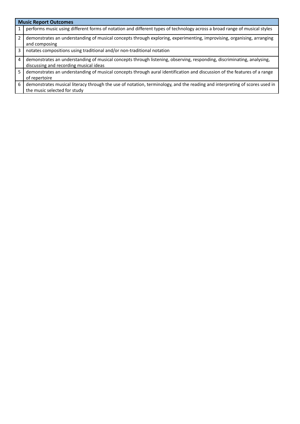|                | <b>Music Report Outcomes</b>                                                                                                                                     |  |  |  |  |  |
|----------------|------------------------------------------------------------------------------------------------------------------------------------------------------------------|--|--|--|--|--|
|                | performs music using different forms of notation and different types of technology across a broad range of musical styles                                        |  |  |  |  |  |
| 2              | demonstrates an understanding of musical concepts through exploring, experimenting, improvising, organising, arranging<br>and composing                          |  |  |  |  |  |
| 3              | notates compositions using traditional and/or non-traditional notation                                                                                           |  |  |  |  |  |
| $\overline{a}$ | demonstrates an understanding of musical concepts through listening, observing, responding, discriminating, analysing,<br>discussing and recording musical ideas |  |  |  |  |  |
| 5.             | demonstrates an understanding of musical concepts through aural identification and discussion of the features of a range<br>of repertoire                        |  |  |  |  |  |
| 6              | demonstrates musical literacy through the use of notation, terminology, and the reading and interpreting of scores used in<br>the music selected for study       |  |  |  |  |  |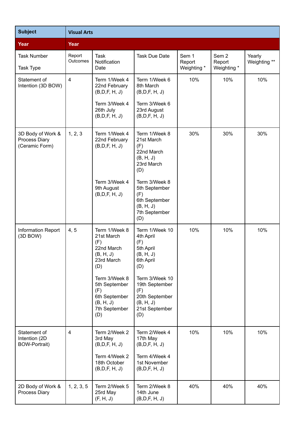| <b>Subject</b>                                         | <b>Visual Arts</b> |                                                                                                |                                                                                                 |                                |                                           |                        |
|--------------------------------------------------------|--------------------|------------------------------------------------------------------------------------------------|-------------------------------------------------------------------------------------------------|--------------------------------|-------------------------------------------|------------------------|
| Year                                                   | Year               |                                                                                                |                                                                                                 |                                |                                           |                        |
| <b>Task Number</b><br><b>Task Type</b>                 | Report<br>Outcomes | <b>Task</b><br>Notification<br>Date                                                            | <b>Task Due Date</b>                                                                            | Sem 1<br>Report<br>Weighting * | Sem <sub>2</sub><br>Report<br>Weighting * | Yearly<br>Weighting ** |
| Statement of<br>Intention (3D BOW)                     | $\overline{4}$     | Term 1/Week 4<br>22nd February<br>(B,D,F, H, J)<br>Term 3/Week 4<br>26th July<br>(B,D,F, H, J) | Term 1/Week 6<br>8th March<br>(B,D,F, H, J)<br>Term 3/Week 6<br>23rd August<br>(B, D, F, H, J)  | 10%                            | 10%                                       | 10%                    |
| 3D Body of Work &<br>Process Diary<br>(Ceramic Form)   | 1, 2, 3            | Term 1/Week 4<br>22nd February<br>(B,D,F, H, J)                                                | Term 1/Week 8<br>21st March<br>(F)<br>22nd March<br>(B, H, J)<br>23rd March<br>(D)              | 30%                            | 30%                                       | 30%                    |
|                                                        |                    | Term 3/Week 4<br>9th August<br>(B,D,F, H, J)                                                   | Term 3/Week 8<br>5th September<br>(F)<br>6th September<br>(B, H, J)<br>7th September<br>(D)     |                                |                                           |                        |
| Information Report<br>(3D BOW)                         | 4, 5               | Term 1/Week 8<br>21st March<br>(F)<br>22nd March<br>(B, H, J)<br>23rd March<br>(D)             | Term 1/Week 10<br>4th April<br>(F)<br>5th April<br>(B, H, J)<br>6th April<br>(D)                | 10%                            | 10%                                       | 10%                    |
|                                                        |                    | Term 3/Week 8<br>5th September<br>(F)<br>6th September<br>(B, H, J)<br>7th September<br>(D)    | Term 3/Week 10<br>19th September<br>(F)<br>20th September<br>(B, H, J)<br>21st September<br>(D) |                                |                                           |                        |
| Statement of<br>Intention (2D)<br><b>BOW-Portrait)</b> | 4                  | Term 2/Week 2<br>3rd May<br>(B,D,F, H, J)<br>Term 4/Week 2<br>18th October<br>(B,D,F, H, J)    | Term 2/Week 4<br>17th May<br>(B,D,F, H, J)<br>Term 4/Week 4<br>1st November<br>(B, D, F, H, J)  | 10%                            | 10%                                       | 10%                    |
| 2D Body of Work &<br>Process Diary                     | 1, 2, 3, 5         | Term 2/Week 5<br>25rd May<br>(F, H, J)                                                         | Term 2/Week 8<br>14th June<br>(B, D, F, H, J)                                                   | 40%                            | 40%                                       | 40%                    |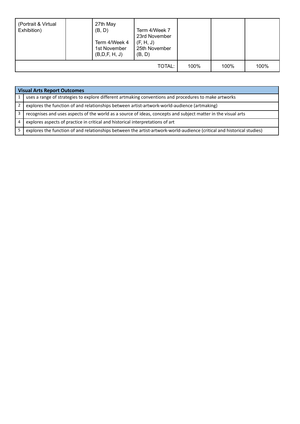| (Portrait & Virtual<br>Exhibition) | 27th May<br>(B, D)<br>Term 4/Week 4<br>1st November<br>(B, D, F, H, J) | Term 4/Week 7<br>23rd November<br>(F, H, J)<br>25th November<br>(B, D) |      |      |      |
|------------------------------------|------------------------------------------------------------------------|------------------------------------------------------------------------|------|------|------|
|                                    |                                                                        | TOTAL:                                                                 | 100% | 100% | 100% |

|   | <b>Visual Arts Report Outcomes</b>                                                                                     |  |  |  |  |  |
|---|------------------------------------------------------------------------------------------------------------------------|--|--|--|--|--|
|   | uses a range of strategies to explore different artmaking conventions and procedures to make artworks                  |  |  |  |  |  |
| 2 | explores the function of and relationships between artist-artwork-world-audience (artmaking)                           |  |  |  |  |  |
| 3 | recognises and uses aspects of the world as a source of ideas, concepts and subject matter in the visual arts          |  |  |  |  |  |
| 4 | explores aspects of practice in critical and historical interpretations of art                                         |  |  |  |  |  |
|   | explores the function of and relationships between the artist-artwork-world-audience (critical and historical studies) |  |  |  |  |  |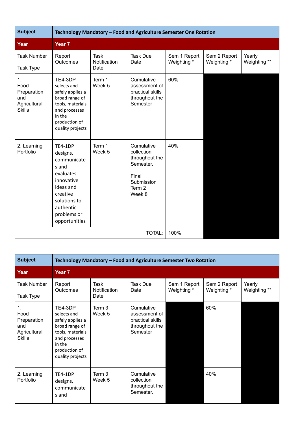| <b>Subject</b>                                                    | Technology Mandatory - Food and Agriculture Semester One Rotation                                                                                            |                                     |                                                                                                               |                             |                             |                        |  |  |
|-------------------------------------------------------------------|--------------------------------------------------------------------------------------------------------------------------------------------------------------|-------------------------------------|---------------------------------------------------------------------------------------------------------------|-----------------------------|-----------------------------|------------------------|--|--|
| Year                                                              | Year <sub>7</sub>                                                                                                                                            |                                     |                                                                                                               |                             |                             |                        |  |  |
| <b>Task Number</b><br>Task Type                                   | Report<br>Outcomes                                                                                                                                           | <b>Task</b><br>Notification<br>Date | <b>Task Due</b><br>Date                                                                                       | Sem 1 Report<br>Weighting * | Sem 2 Report<br>Weighting * | Yearly<br>Weighting ** |  |  |
| 1.<br>Food<br>Preparation<br>and<br>Agricultural<br><b>Skills</b> | TE4-3DP<br>selects and<br>safely applies a<br>broad range of<br>tools, materials<br>and processes<br>in the<br>production of<br>quality projects             | Term 1<br>Week 5                    | Cumulative<br>assessment of<br>practical skills<br>throughout the<br>Semester                                 | 60%                         |                             |                        |  |  |
| 2. Learning<br>Portfolio                                          | TE4-1DP<br>designs,<br>communicate<br>s and<br>evaluates<br>innovative<br>ideas and<br>creative<br>solutions to<br>authentic<br>problems or<br>opportunities | Term 1<br>Week 5                    | Cumulative<br>collection<br>throughout the<br>Semester.<br>Final<br>Submission<br>Term <sub>2</sub><br>Week 8 | 40%                         |                             |                        |  |  |
|                                                                   |                                                                                                                                                              |                                     | 100%                                                                                                          |                             |                             |                        |  |  |

| <b>Subject</b>                                                    | Technology Mandatory - Food and Agriculture Semester Two Rotation                                                                                |                                     |                                                                               |                             |                             |                        |  |  |
|-------------------------------------------------------------------|--------------------------------------------------------------------------------------------------------------------------------------------------|-------------------------------------|-------------------------------------------------------------------------------|-----------------------------|-----------------------------|------------------------|--|--|
| Year                                                              | Year <sub>7</sub>                                                                                                                                |                                     |                                                                               |                             |                             |                        |  |  |
| Task Number<br>Task Type                                          | Report<br><b>Outcomes</b>                                                                                                                        | Task<br><b>Notification</b><br>Date | <b>Task Due</b><br>Date                                                       | Sem 1 Report<br>Weighting * | Sem 2 Report<br>Weighting * | Yearly<br>Weighting ** |  |  |
| 1.<br>Food<br>Preparation<br>and<br>Agricultural<br><b>Skills</b> | TE4-3DP<br>selects and<br>safely applies a<br>broad range of<br>tools, materials<br>and processes<br>in the<br>production of<br>quality projects | Term 3<br>Week 5                    | Cumulative<br>assessment of<br>practical skills<br>throughout the<br>Semester |                             | 60%                         |                        |  |  |
| 2. Learning<br>Portfolio                                          | TE4-1DP<br>designs,<br>communicate<br>s and                                                                                                      | Term 3<br>Week 5                    | Cumulative<br>collection<br>throughout the<br>Semester.                       |                             | 40%                         |                        |  |  |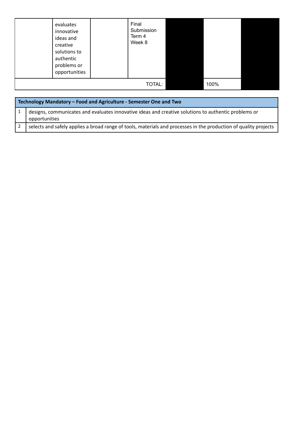| evaluates<br>innovative<br>ideas and<br>creative<br>solutions to<br>authentic<br>problems or<br>opportunities | Final<br>Submission<br>Term 4<br>Week 8 |  |  |
|---------------------------------------------------------------------------------------------------------------|-----------------------------------------|--|--|
|                                                                                                               | 100%                                    |  |  |

| Technology Mandatory - Food and Agriculture - Semester One and Two                                                    |  |  |  |  |  |
|-----------------------------------------------------------------------------------------------------------------------|--|--|--|--|--|
| designs, communicates and evaluates innovative ideas and creative solutions to authentic problems or<br>opportunities |  |  |  |  |  |
| selects and safely applies a broad range of tools, materials and processes in the production of quality projects      |  |  |  |  |  |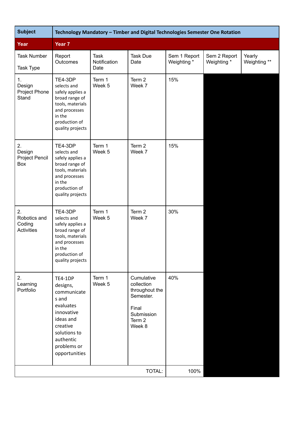| <b>Subject</b>                                    | Technology Mandatory - Timber and Digital Technologies Semester One Rotation                                                                                 |                                     |                                                                                                    |                             |                             |                        |  |
|---------------------------------------------------|--------------------------------------------------------------------------------------------------------------------------------------------------------------|-------------------------------------|----------------------------------------------------------------------------------------------------|-----------------------------|-----------------------------|------------------------|--|
| Year                                              | Year 7                                                                                                                                                       |                                     |                                                                                                    |                             |                             |                        |  |
| <b>Task Number</b><br>Task Type                   | Report<br>Outcomes                                                                                                                                           | <b>Task</b><br>Notification<br>Date | <b>Task Due</b><br>Date                                                                            | Sem 1 Report<br>Weighting * | Sem 2 Report<br>Weighting * | Yearly<br>Weighting ** |  |
| 1.<br>Design<br>Project Phone<br>Stand            | TE4-3DP<br>selects and<br>safely applies a<br>broad range of<br>tools, materials<br>and processes<br>in the<br>production of<br>quality projects             | Term 1<br>Week 5                    | Term 2<br>Week 7                                                                                   | 15%                         |                             |                        |  |
| 2.<br>Design<br>Project Pencil<br>Box             | TE4-3DP<br>selects and<br>safely applies a<br>broad range of<br>tools, materials<br>and processes<br>in the<br>production of<br>quality projects             | Term 1<br>Week 5                    | Term <sub>2</sub><br>Week 7                                                                        | 15%                         |                             |                        |  |
| 2.<br>Robotics and<br>Coding<br><b>Activities</b> | TE4-3DP<br>selects and<br>safely applies a<br>broad range of<br>tools, materials<br>and processes<br>in the<br>production of<br>quality projects             | Term 1<br>Week 5                    | Term 2<br>Week 7                                                                                   | 30%                         |                             |                        |  |
| 2.<br>Learning<br>Portfolio                       | TE4-1DP<br>designs,<br>communicate<br>s and<br>evaluates<br>innovative<br>ideas and<br>creative<br>solutions to<br>authentic<br>problems or<br>opportunities | Term 1<br>Week 5                    | Cumulative<br>collection<br>throughout the<br>Semester.<br>Final<br>Submission<br>Term 2<br>Week 8 | 40%                         |                             |                        |  |
|                                                   |                                                                                                                                                              |                                     | TOTAL:                                                                                             | 100%                        |                             |                        |  |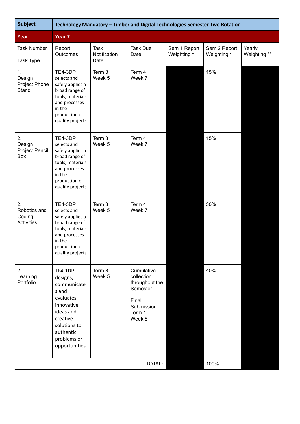| <b>Subject</b>                                    | Technology Mandatory - Timber and Digital Technologies Semester Two Rotation                                                                                 |                                     |                                                                                                    |                             |                             |                        |
|---------------------------------------------------|--------------------------------------------------------------------------------------------------------------------------------------------------------------|-------------------------------------|----------------------------------------------------------------------------------------------------|-----------------------------|-----------------------------|------------------------|
| Year                                              | Year 7                                                                                                                                                       |                                     |                                                                                                    |                             |                             |                        |
| <b>Task Number</b><br><b>Task Type</b>            | Report<br>Outcomes                                                                                                                                           | <b>Task</b><br>Notification<br>Date | <b>Task Due</b><br>Date                                                                            | Sem 1 Report<br>Weighting * | Sem 2 Report<br>Weighting * | Yearly<br>Weighting ** |
| 1.<br>Design<br>Project Phone<br>Stand            | TE4-3DP<br>selects and<br>safely applies a<br>broad range of<br>tools, materials<br>and processes<br>in the<br>production of<br>quality projects             | Term 3<br>Week 5                    | Term 4<br>Week 7                                                                                   |                             | 15%                         |                        |
| 2.<br>Design<br>Project Pencil<br>Box             | TE4-3DP<br>selects and<br>safely applies a<br>broad range of<br>tools, materials<br>and processes<br>in the<br>production of<br>quality projects             | Term 3<br>Week 5                    | Term 4<br>Week 7                                                                                   |                             | 15%                         |                        |
| 2.<br>Robotics and<br>Coding<br><b>Activities</b> | TE4-3DP<br>selects and<br>safely applies a<br>broad range of<br>tools, materials<br>and processes<br>in the<br>production of<br>quality projects             | Term 3<br>Week 5                    | Term 4<br>Week 7                                                                                   |                             | 30%                         |                        |
| 2.<br>Learning<br>Portfolio                       | TE4-1DP<br>designs,<br>communicate<br>s and<br>evaluates<br>innovative<br>ideas and<br>creative<br>solutions to<br>authentic<br>problems or<br>opportunities | Term 3<br>Week 5                    | Cumulative<br>collection<br>throughout the<br>Semester.<br>Final<br>Submission<br>Term 4<br>Week 8 |                             | 40%                         |                        |
| TOTAL:                                            |                                                                                                                                                              |                                     |                                                                                                    |                             | 100%                        |                        |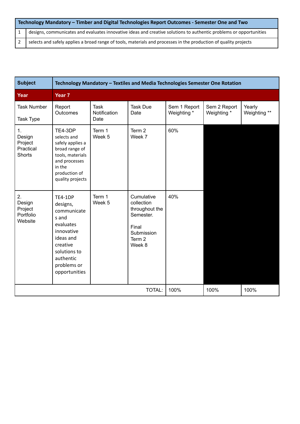|     | Technology Mandatory - Timber and Digital Technologies Report Outcomes - Semester One and Two                      |  |  |  |  |
|-----|--------------------------------------------------------------------------------------------------------------------|--|--|--|--|
| l 1 | designs, communicates and evaluates innovative ideas and creative solutions to authentic problems or opportunities |  |  |  |  |
| 2   | selects and safely applies a broad range of tools, materials and processes in the production of quality projects   |  |  |  |  |

| <b>Subject</b>                                        | Technology Mandatory - Textiles and Media Technologies Semester One Rotation                                                                                        |                                     |                                                                                                    |                             |                             |                        |
|-------------------------------------------------------|---------------------------------------------------------------------------------------------------------------------------------------------------------------------|-------------------------------------|----------------------------------------------------------------------------------------------------|-----------------------------|-----------------------------|------------------------|
| Year                                                  | Year <sub>7</sub>                                                                                                                                                   |                                     |                                                                                                    |                             |                             |                        |
| <b>Task Number</b><br>Task Type                       | Report<br><b>Outcomes</b>                                                                                                                                           | <b>Task</b><br>Notification<br>Date | <b>Task Due</b><br>Date                                                                            | Sem 1 Report<br>Weighting * | Sem 2 Report<br>Weighting * | Yearly<br>Weighting ** |
| 1.<br>Design<br>Project<br>Practical<br><b>Shorts</b> | TE4-3DP<br>selects and<br>safely applies a<br>broad range of<br>tools, materials<br>and processes<br>in the<br>production of<br>quality projects                    | Term 1<br>Week 5                    | Term 2<br>Week 7                                                                                   | 60%                         |                             |                        |
| 2.<br>Design<br>Project<br>Portfolio<br>Website       | <b>TE4-1DP</b><br>designs,<br>communicate<br>s and<br>evaluates<br>innovative<br>ideas and<br>creative<br>solutions to<br>authentic<br>problems or<br>opportunities | Term 1<br>Week 5                    | Cumulative<br>collection<br>throughout the<br>Semester.<br>Final<br>Submission<br>Term 2<br>Week 8 | 40%                         |                             |                        |
|                                                       |                                                                                                                                                                     |                                     | TOTAL:                                                                                             | 100%                        | 100%                        | 100%                   |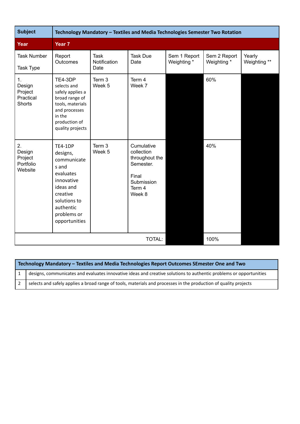| <b>Subject</b>                                        | Technology Mandatory - Textiles and Media Technologies Semester Two Rotation                                                                                 |                              |                                                                                                    |                             |                             |                        |
|-------------------------------------------------------|--------------------------------------------------------------------------------------------------------------------------------------------------------------|------------------------------|----------------------------------------------------------------------------------------------------|-----------------------------|-----------------------------|------------------------|
| Year                                                  | Year <sub>7</sub>                                                                                                                                            |                              |                                                                                                    |                             |                             |                        |
| <b>Task Number</b><br><b>Task Type</b>                | Report<br>Outcomes                                                                                                                                           | Task<br>Notification<br>Date | <b>Task Due</b><br>Date                                                                            | Sem 1 Report<br>Weighting * | Sem 2 Report<br>Weighting * | Yearly<br>Weighting ** |
| 1.<br>Design<br>Project<br>Practical<br><b>Shorts</b> | TE4-3DP<br>selects and<br>safely applies a<br>broad range of<br>tools, materials<br>and processes<br>in the<br>production of<br>quality projects             | Term 3<br>Week 5             | Term 4<br>Week 7                                                                                   |                             | 60%                         |                        |
| 2.<br>Design<br>Project<br>Portfolio<br>Website       | TE4-1DP<br>designs,<br>communicate<br>s and<br>evaluates<br>innovative<br>ideas and<br>creative<br>solutions to<br>authentic<br>problems or<br>opportunities | Term 3<br>Week 5             | Cumulative<br>collection<br>throughout the<br>Semester.<br>Final<br>Submission<br>Term 4<br>Week 8 |                             | 40%                         |                        |
|                                                       |                                                                                                                                                              |                              | TOTAL:                                                                                             |                             | 100%                        |                        |

| Technology Mandatory – Textiles and Media Technologies Report Outcomes SEmester One and Two                        |  |  |  |  |
|--------------------------------------------------------------------------------------------------------------------|--|--|--|--|
| designs, communicates and evaluates innovative ideas and creative solutions to authentic problems or opportunities |  |  |  |  |
| selects and safely applies a broad range of tools, materials and processes in the production of quality projects   |  |  |  |  |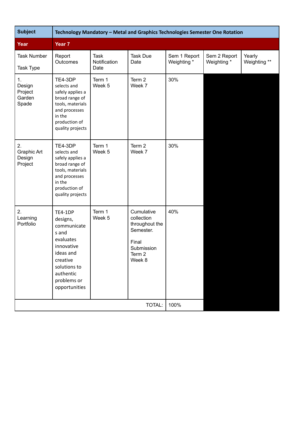| <b>Subject</b>                             | Technology Mandatory - Metal and Graphics Technologies Semester One Rotation                                                                                 |                              |                                                                                                    |                             |                             |                        |
|--------------------------------------------|--------------------------------------------------------------------------------------------------------------------------------------------------------------|------------------------------|----------------------------------------------------------------------------------------------------|-----------------------------|-----------------------------|------------------------|
| Year                                       | Year 7                                                                                                                                                       |                              |                                                                                                    |                             |                             |                        |
| <b>Task Number</b><br>Task Type            | Report<br>Outcomes                                                                                                                                           | Task<br>Notification<br>Date | <b>Task Due</b><br>Date                                                                            | Sem 1 Report<br>Weighting * | Sem 2 Report<br>Weighting * | Yearly<br>Weighting ** |
| 1.<br>Design<br>Project<br>Garden<br>Spade | TE4-3DP<br>selects and<br>safely applies a<br>broad range of<br>tools, materials<br>and processes<br>in the<br>production of<br>quality projects             | Term 1<br>Week 5             | Term <sub>2</sub><br>Week 7                                                                        | 30%                         |                             |                        |
| 2.<br>Graphic Art<br>Design<br>Project     | TE4-3DP<br>selects and<br>safely applies a<br>broad range of<br>tools, materials<br>and processes<br>in the<br>production of<br>quality projects             | Term 1<br>Week 5             | Term 2<br>Week 7                                                                                   | 30%                         |                             |                        |
| 2.<br>Learning<br>Portfolio                | TE4-1DP<br>designs,<br>communicate<br>s and<br>evaluates<br>innovative<br>ideas and<br>creative<br>solutions to<br>authentic<br>problems or<br>opportunities | Term 1<br>Week 5             | Cumulative<br>collection<br>throughout the<br>Semester.<br>Final<br>Submission<br>Term 2<br>Week 8 | 40%                         |                             |                        |
|                                            |                                                                                                                                                              |                              | TOTAL:                                                                                             | 100%                        |                             |                        |